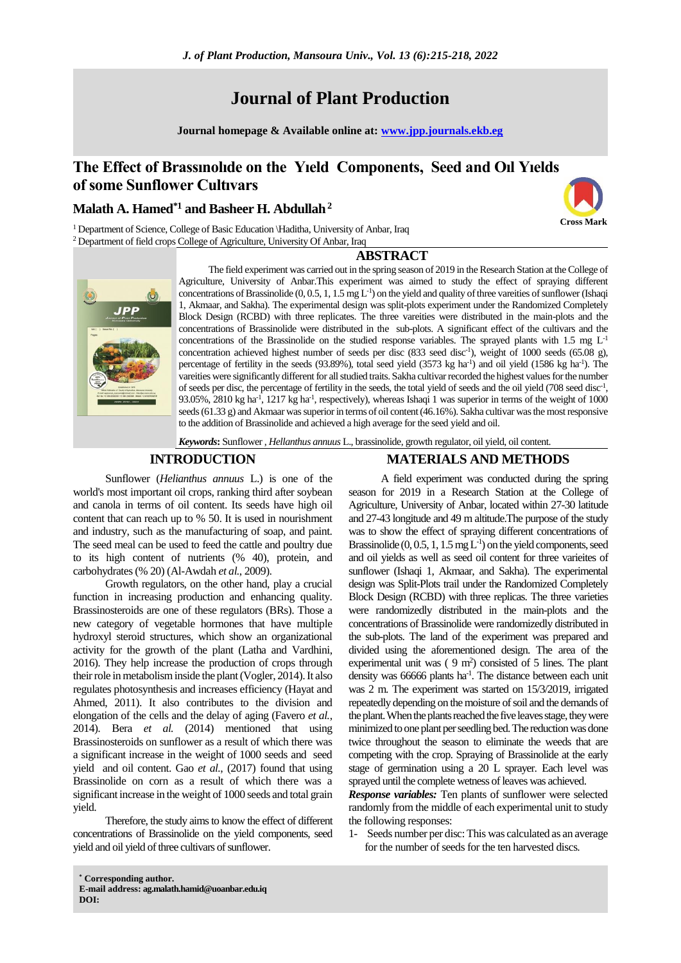# **Journal of Plant Production**

**Journal homepage & Available online at: [www.jpp.journals.ekb.eg](http://www.jpp.journals.ekb.eg/)**

## **The Effect of Brassınolıde on the Yıeld Components, Seed and Oıl Yıelds of some Sunflower Cultıvars**

## **Malath A. Hamed\*1 and Basheer H. Abdullah<sup>2</sup>**

<sup>1</sup> Department of Science, College of Basic Education \Haditha, University of Anbar, Iraq <sup>2</sup> Department of field crops College of Agriculture, University Of Anbar, Iraq

## **ABSTRACT**



The field experiment was carried out in the spring season of 2019 in the Research Station at the College of Agriculture, University of Anbar.This experiment was aimed to study the effect of spraying different concentrations of Brassinolide  $(0, 0.5, 1, 1.5 \text{ mg } L^{-1})$  on the yield and quality of three vareities of sunflower (Ishaqi 1, Akmaar, and Sakha). The experimental design was split-plots experiment under the Randomized Completely Block Design (RCBD) with three replicates. The three vareities were distributed in the main-plots and the concentrations of Brassinolide were distributed in the sub-plots. A significant effect of the cultivars and the concentrations of the Brassinolide on the studied response variables. The sprayed plants with 1.5 mg  $L<sup>-1</sup>$ concentration achieved highest number of seeds per disc (833 seed disc<sup>-1</sup>), weight of 1000 seeds (65.08 g), percentage of fertility in the seeds (93.89%), total seed yield (3573 kg ha<sup>-1</sup>) and oil yield (1586 kg ha<sup>-1</sup>). The vareities were significantly different for all studied traits. Sakha cultivar recorded the highest values for the number of seeds per disc, the percentage of fertility in the seeds, the total yield of seeds and the oil yield (708 seed disc<sup>-1</sup>, 93.05%, 2810 kg ha<sup>-1</sup>, 1217 kg ha<sup>-1</sup>, respectively), whereas Ishaqi 1 was superior in terms of the weight of 1000 seeds (61.33 g) and Akmaar was superior in terms of oil content (46.16%). Sakha cultivar was the most responsive to the addition of Brassinolide and achieved a high average for the seed yield and oil.

*Keywords***:** Sunflower , *Hellanthus annuus* L., brassinolide, growth regulator, oil yield, oil content.

#### **INTRODUCTION**

### Sunflower (*Helianthus annuus* L.) is one of the world's most important oil crops, ranking third after soybean and canola in terms of oil content. Its seeds have high oil content that can reach up to % 50. It is used in nourishment and industry, such as the manufacturing of soap, and paint. The seed meal can be used to feed the cattle and poultry due to its high content of nutrients (% 40), protein, and carbohydrates (% 20) (Al-Awdah *et al.*, 2009).

Growth regulators, on the other hand, play a crucial function in increasing production and enhancing quality. Brassinosteroids are one of these regulators (BRs). Those a new category of vegetable hormones that have multiple hydroxyl steroid structures, which show an organizational activity for the growth of the plant (Latha and Vardhini, 2016). They help increase the production of crops through their role in metabolism inside the plant (Vogler, 2014). It also regulates photosynthesis and increases efficiency (Hayat and Ahmed, 2011). It also contributes to the division and elongation of the cells and the delay of aging (Favero *et al.*, 2014). Bera *et al.* (2014) mentioned that using Brassinosteroids on sunflower as a result of which there was a significant increase in the weight of 1000 seeds and seed yield and oil content. Gao et al., (2017) found that using Brassinolide on corn as a result of which there was a significant increase in the weight of 1000 seeds and total grain yield.

Therefore, the study aims to know the effect of different concentrations of Brassinolide on the yield components, seed yield and oil yield of three cultivars of sunflower.

## **MATERIALS AND METHODS**

**Cross Mark**

A field experiment was conducted during the spring season for 2019 in a Research Station at the College of Agriculture, University of Anbar, located within 27-30 latitude and 27-43 longitude and 49 m altitude.The purpose of the study was to show the effect of spraying different concentrations of Brassinolide  $(0, 0.5, 1, 1.5 \text{ mg } L^{-1})$  on the yield components, seed and oil yields as well as seed oil content for three varieites of sunflower (Ishaqi 1, Akmaar, and Sakha). The experimental design was Split-Plots trail under the Randomized Completely Block Design (RCBD) with three replicas. The three varieties were randomizedly distributed in the main-plots and the concentrations of Brassinolide were randomizedly distributed in the sub-plots. The land of the experiment was prepared and divided using the aforementioned design. The area of the experimental unit was  $(9 \text{ m}^2)$  consisted of 5 lines. The plant density was 66666 plants ha<sup>-1</sup>. The distance between each unit was 2 m. The experiment was started on 15/3/2019, irrigated repeatedly depending on the moisture of soil and the demands of the plant. When the plants reached the five leaves stage, they were minimized to one plant per seedling bed. The reduction was done twice throughout the season to eliminate the weeds that are competing with the crop. Spraying of Brassinolide at the early stage of germination using a 20 L sprayer. Each level was sprayed until the complete wetness of leaves was achieved.

*Response variables:* Ten plants of sunflower were selected randomly from the middle of each experimental unit to study the following responses:

1- Seeds number per disc: This was calculated as an average for the number of seeds for the ten harvested discs.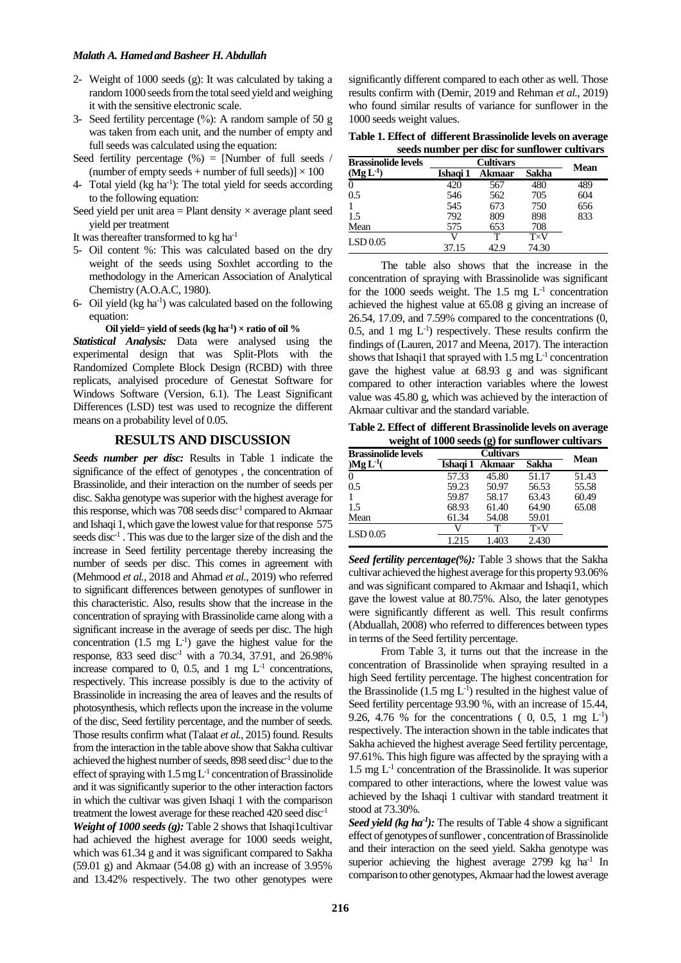- 2- Weight of 1000 seeds (g): It was calculated by taking a random 1000 seeds from the total seed yield and weighing it with the sensitive electronic scale.
- 3- Seed fertility percentage (%): A random sample of 50 g was taken from each unit, and the number of empty and full seeds was calculated using the equation:
- Seed fertility percentage  $(\%)$  = [Number of full seeds / (number of empty seeds + number of full seeds)]  $\times$  100
- 4- Total yield  $(kg ha<sup>-1</sup>)$ : The total yield for seeds according to the following equation:
- Seed yield per unit area  $=$  Plant density  $\times$  average plant seed yield per treatment
- It was thereafter transformed to kg ha-1
- 5- Oil content %: This was calculated based on the dry weight of the seeds using Soxhlet according to the methodology in the American Association of Analytical Chemistry (A.O.A.C, 1980).
- 6- Oil yield  $(kg ha<sup>-1</sup>)$  was calculated based on the following equation:

Oil yield= yield of seeds  $(kg ha<sup>-1</sup>) \times ratio of oil %$ 

*Statistical Analysis:* Data were analysed using the experimental design that was Split-Plots with the Randomized Complete Block Design (RCBD) with three replicats, analyised procedure of Genestat Software for Windows Software (Version, 6.1). The Least Significant Differences (LSD) test was used to recognize the different means on a probability level of 0.05.

## **RESULTS AND DISCUSSION**

*Seeds number per disc:* Results in Table 1 indicate the significance of the effect of genotypes , the concentration of Brassinolide, and their interaction on the number of seeds per disc. Sakha genotype was superior with the highest average for this response, which was 708 seeds disc<sup>-1</sup> compared to Akmaar and Ishaqi 1, which gave the lowest value for that response 575 seeds disc<sup>-1</sup>. This was due to the larger size of the dish and the increase in Seed fertility percentage thereby increasing the number of seeds per disc. This comes in agreement with (Mehmood *et al.*, 2018 and Ahmad *et al.*, 2019) who referred to significant differences between genotypes of sunflower in this characteristic. Also, results show that the increase in the concentration of spraying with Brassinolide came along with a significant increase in the average of seeds per disc. The high concentration  $(1.5 \text{ mg } L^{-1})$  gave the highest value for the response, 833 seed disc<sup>-1</sup> with a 70.34, 37.91, and 26.98% increase compared to 0, 0.5, and 1 mg  $L^{-1}$  concentrations, respectively. This increase possibly is due to the activity of Brassinolide in increasing the area of leaves and the results of photosynthesis, which reflects upon the increase in the volume of the disc, Seed fertility percentage, and the number of seeds. Those results confirm what (Talaat *et al.*, 2015) found. Results from the interaction in the table above show that Sakha cultivar achieved the highest number of seeds, 898 seed disc-1 due to the effect of spraying with  $1.5 \text{ mg } L^{-1}$  concentration of Brassinolide and it was significantly superior to the other interaction factors in which the cultivar was given Ishaqi 1 with the comparison treatment the lowest average for these reached 420 seed disc-1

*Weight of 1000 seeds (g):* Table 2 shows that Ishaqi1cultivar had achieved the highest average for 1000 seeds weight, which was  $61.34$  g and it was significant compared to Sakha  $(59.01 \text{ g})$  and Akmaar  $(54.08 \text{ g})$  with an increase of 3.95% and 13.42% respectively. The two other genotypes were

significantly different compared to each other as well. Those results confirm with (Demir, 2019 and Rehman *et al.*, 2019) who found similar results of variance for sunflower in the 1000 seeds weight values.

**Table 1. Effect of different Brassinolide levels on average seeds number per disc for sunflower cultivars** 

| <b>Brassinolide levels</b> | <b>Cultivars</b> |        |                    | Mean |
|----------------------------|------------------|--------|--------------------|------|
| $(Mg L-1)$                 | Ishaɑi 1         | Akmaar | Sakha              |      |
| 0                          | 420              | 567    | 480                | 489  |
| 0.5                        | 546              | 562    | 705                | 604  |
|                            | 545              | 673    | 750                | 656  |
| 1.5                        | 792              | 809    | 898                | 833  |
| Mean                       | 575              | 653    | 708                |      |
| LSD 0.05                   |                  |        | $T\!\!\times\!\!V$ |      |
|                            | 37.15            | 42.9   | 74.30              |      |

The table also shows that the increase in the concentration of spraying with Brassinolide was significant for the 1000 seeds weight. The 1.5 mg  $L^{-1}$  concentration achieved the highest value at 65.08 g giving an increase of 26.54, 17.09, and 7.59% compared to the concentrations (0, 0.5, and 1 mg  $L^{-1}$ ) respectively. These results confirm the findings of (Lauren, 2017 and Meena, 2017). The interaction shows that Ishaqi1 that sprayed with  $1.5 \text{ mg } L^{-1}$  concentration gave the highest value at 68.93 g and was significant compared to other interaction variables where the lowest value was 45.80 g, which was achieved by the interaction of Akmaar cultivar and the standard variable.

**Table 2. Effect of different Brassinolide levels on average weight of 1000 seeds (g) for sunflower cultivars** 

| <b>Brassinolide levels</b> | <b>Cultivars</b> |        |                    | Mean  |
|----------------------------|------------------|--------|--------------------|-------|
| ) $Mg L^{-1}$ (            | Ishaɑi 1         | Akmaar | Sakha              |       |
| $\Omega$                   | 57.33            | 45.80  | 51.17              | 51.43 |
| 0.5                        | 59.23            | 50.97  | 56.53              | 55.58 |
|                            | 59.87            | 58.17  | 63.43              | 60.49 |
| 1.5                        | 68.93            | 61.40  | 64.90              | 65.08 |
| Mean                       | 61.34            | 54.08  | 59.01              |       |
| LSD 0.05                   |                  |        | $T\!\!\times\!\!V$ |       |
|                            | 1.215            | 1.403  | 2.430              |       |

*Seed fertility percentage(%):* Table 3 shows that the Sakha cultivar achieved the highest average for this property 93.06% and was significant compared to Akmaar and Ishaqi1, which gave the lowest value at 80.75%. Also, the later genotypes were significantly different as well. This result confirms (Abduallah, 2008) who referred to differences between types in terms of the Seed fertility percentage.

From Table 3, it turns out that the increase in the concentration of Brassinolide when spraying resulted in a high Seed fertility percentage. The highest concentration for the Brassinolide  $(1.5 \text{ mg } L^{-1})$  resulted in the highest value of Seed fertility percentage 93.90 %, with an increase of 15.44, 9.26, 4.76 % for the concentrations  $(0, 0.5, 1 \text{ mg } L^{-1})$ respectively. The interaction shown in the table indicates that Sakha achieved the highest average Seed fertility percentage, 97.61%. This high figure was affected by the spraying with a 1.5 mg L-1 concentration of the Brassinolide. It was superior compared to other interactions, where the lowest value was achieved by the Ishaqi 1 cultivar with standard treatment it stood at 73.30%.

Seed yield (kg ha<sup>-1</sup>): The results of Table 4 show a significant effect of genotypes of sunflower , concentration of Brassinolide and their interaction on the seed yield. Sakha genotype was superior achieving the highest average 2799 kg ha<sup>-1</sup> In comparison to other genotypes, Akmaar had the lowest average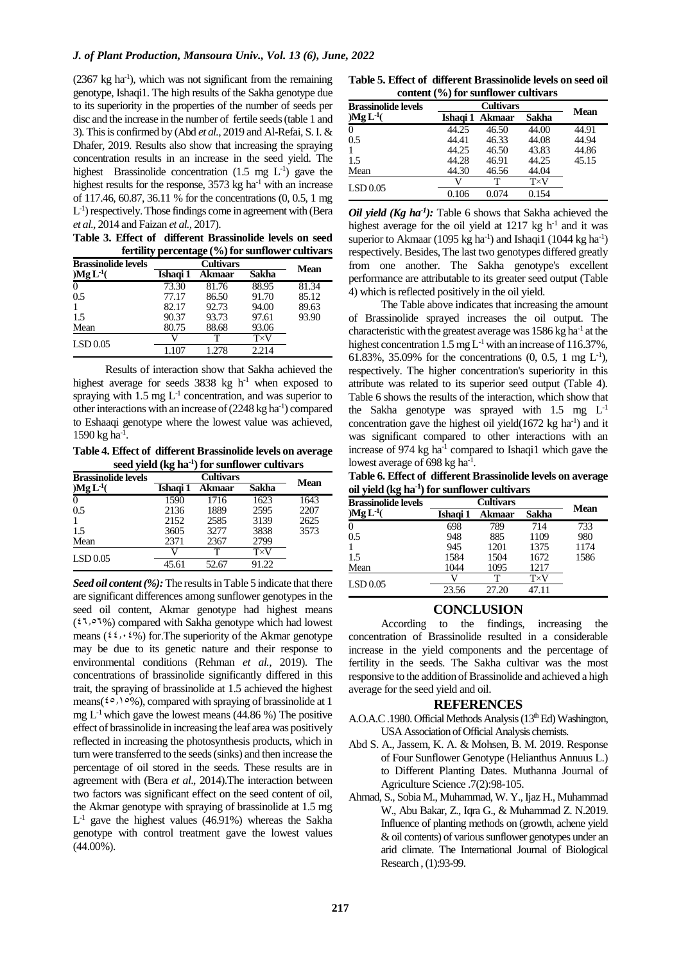$(2367 \text{ kg ha}^{-1})$ , which was not significant from the remaining genotype, Ishaqi1. The high results of the Sakha genotype due to its superiority in the properties of the number of seeds per disc and the increase in the number of fertile seeds (table 1 and 3). This is confirmed by (Abd *et al.*, 2019 and Al-Refai, S. I. & Dhafer, 2019. Results also show that increasing the spraying concentration results in an increase in the seed yield. The highest Brassinolide concentration  $(1.5 \text{ mg } L^{-1})$  gave the highest results for the response,  $3573$  kg ha<sup>-1</sup> with an increase of 117.46, 60.87, 36.11 % for the concentrations (0, 0.5, 1 mg L -1 ) respectively. Those findings come in agreement with (Bera *et al.*, 2014 and Faizan *et al.*, 2017).

**Table 3. Effect of different Brassinolide levels on seed fertility percentage (%) for sunflower cultivars** 

| <b>Brassinolide levels</b> |          | Mean   |       |       |
|----------------------------|----------|--------|-------|-------|
| ) $Mg L^{-1}$ (            | Ishaqi 1 | Akmaar | Sakha |       |
| $\Omega$                   | 73.30    | 81.76  | 88.95 | 81.34 |
| 0.5                        | 77.17    | 86.50  | 91.70 | 85.12 |
|                            | 82.17    | 92.73  | 94.00 | 89.63 |
| 1.5                        | 90.37    | 93.73  | 97.61 | 93.90 |
| Mean                       | 80.75    | 88.68  | 93.06 |       |
| LSD 0.05                   |          |        | T×V   |       |
|                            | 1.107    | 1.278  | 2.214 |       |

Results of interaction show that Sakha achieved the highest average for seeds  $3838 \text{ kg h}^{-1}$  when exposed to spraying with  $1.5 \text{ mg } L^{-1}$  concentration, and was superior to other interactions with an increase of  $(2248 \text{ kg ha}^{-1})$  compared to Eshaaqi genotype where the lowest value was achieved, 1590 kg ha<sup>-1</sup>.

**Table 4. Effect of different Brassinolide levels on average seed yield (kg ha-1 ) for sunflower cultivars** 

| <b>Brassinolide levels</b> | <b>Cultivars</b> |        |       | Mean |
|----------------------------|------------------|--------|-------|------|
| ) $Mg L^{-1}$ (            | Ishaɑi 1         | Akmaar | Sakha |      |
| $\Omega$                   | 1590             | 1716   | 1623  | 1643 |
| 0.5                        | 2136             | 1889   | 2595  | 2207 |
|                            | 2152             | 2585   | 3139  | 2625 |
| 1.5                        | 3605             | 3277   | 3838  | 3573 |
| Mean                       | 2371             | 2367   | 2799  |      |
| LSD 0.05                   | V)               | т      | T×V   |      |
|                            | 45.61            | 52.67  | 91.22 |      |

*Seed oil content (%):* The results in Table 5 indicate that there are significant differences among sunflower genotypes in the seed oil content, Akmar genotype had highest means  $(27,87%)$  compared with Sakha genotype which had lowest means ( $\frac{2\mathcal{L}^2}{2\mathcal{L}^2}$ ) for. The superiority of the Akmar genotype may be due to its genetic nature and their response to environmental conditions (Rehman *et al.,* 2019). The concentrations of brassinolide significantly differed in this trait, the spraying of brassinolide at 1.5 achieved the highest means( $\mathfrak{so}, 1 \circ \mathfrak{Y}$ ), compared with spraying of brassinolide at 1 mg  $L^{-1}$  which gave the lowest means (44.86 %) The positive effect of brassinolide in increasing the leaf area was positively reflected in increasing the photosynthesis products, which in turn were transferred to the seeds (sinks) and then increase the percentage of oil stored in the seeds. These results are in agreement with (Bera *et al*., 2014).The interaction between two factors was significant effect on the seed content of oil, the Akmar genotype with spraying of brassinolide at 1.5 mg  $L<sup>-1</sup>$  gave the highest values (46.91%) whereas the Sakha genotype with control treatment gave the lowest values (44.00%).

**Table 5. Effect of different Brassinolide levels on seed oil content (%) for sunflower cultivars** 

| <b>Brassinolide levels</b> | <b>Cultivars</b> |                   |              |       |
|----------------------------|------------------|-------------------|--------------|-------|
| ) $Mg L^{-1}$ (            |                  | Ishaqi 1   Akmaar | Sakha        | Mean  |
| 0                          | 44.25            | 46.50             | 44.00        | 44.91 |
| 0.5                        | 44.41            | 46.33             | 44.08        | 44.94 |
| 1                          | 44.25            | 46.50             | 43.83        | 44.86 |
| 1.5                        | 44.28            | 46.91             | 44.25        | 45.15 |
| Mean                       | 44.30            | 46.56             | 44.04        |       |
| LSD 0.05                   |                  | т                 | $T \times V$ |       |
|                            | 0.106            | 0.074             | 0.154        |       |

*Oil yield (Kg ha-1 ):* Table 6 shows that Sakha achieved the highest average for the oil yield at  $1217$  kg h<sup>-1</sup> and it was superior to Akmaar (1095 kg ha<sup>-1</sup>) and Ishaqi1 (1044 kg ha<sup>-1</sup>) respectively. Besides, The last two genotypes differed greatly from one another. The Sakha genotype's excellent performance are attributable to its greater seed output (Table 4) which is reflected positively in the oil yield.

The Table above indicates that increasing the amount of Brassinolide sprayed increases the oil output. The characteristic with the greatest average was  $1586$  kg ha<sup>-1</sup> at the highest concentration 1.5 mg L<sup>-1</sup> with an increase of 116.37%, 61.83%, 35.09% for the concentrations  $(0, 0.5, 1 \text{ mg } L^{-1})$ , respectively. The higher concentration's superiority in this attribute was related to its superior seed output (Table 4). Table 6 shows the results of the interaction, which show that the Sakha genotype was sprayed with  $1.5 \text{ mg } L^{-1}$ concentration gave the highest oil yield $(1672 \text{ kg ha}^{-1})$  and it was significant compared to other interactions with an increase of 974 kg ha<sup>-1</sup> compared to Ishaqi1 which gave the lowest average of 698 kg ha<sup>-1</sup>.

**Table 6. Effect of different Brassinolide levels on average oil yield (kg ha-1 ) for sunflower cultivars** 

| <b>Brassinolide levels</b> | <b>Cultivars</b> |        |                    |      |
|----------------------------|------------------|--------|--------------------|------|
| ) $Mg L^{-1}$              | Ishaqi 1         | Akmaar | Sakha              | Mean |
| $\theta$                   | 698              | 789    | 714                | 733  |
| 0.5                        | 948              | 885    | 1109               | 980  |
|                            | 945              | 1201   | 1375               | 1174 |
| 1.5                        | 1584             | 1504   | 1672               | 1586 |
| Mean                       | 1044             | 1095   | 1217               |      |
|                            |                  | т      | $T\!\!\times\!\!V$ |      |
| LSD 0.05                   | 23.56            | 27.20  | 47.11              |      |

**CONCLUSION**<br>According to the findings, to the findings, increasing the concentration of Brassinolide resulted in a considerable increase in the yield components and the percentage of fertility in the seeds. The Sakha cultivar was the most responsive to the addition of Brassinolide and achieved a high average for the seed yield and oil.

#### **REFERENCES**

- A.O.A.C .1980. Official Methods Analysis (13<sup>th</sup> Ed) Washington, USA Association of Official Analysis chemists.
- Abd S. A., Jassem, K. A. & Mohsen, B. M. 2019. Response of Four Sunflower Genotype (Helianthus Annuus L.) to Different Planting Dates. Muthanna Journal of Agriculture Science .7(2):98-105.
- Ahmad, S., Sobia M., Muhammad, W. Y., Ijaz H., Muhammad W., Abu Bakar, Z., Iqra G., & Muhammad Z. N.2019. Influence of planting methods on (growth, achene yield & oil contents) of various sunflower genotypes under an arid climate. The International Journal of Biological Research , (1):93-99.